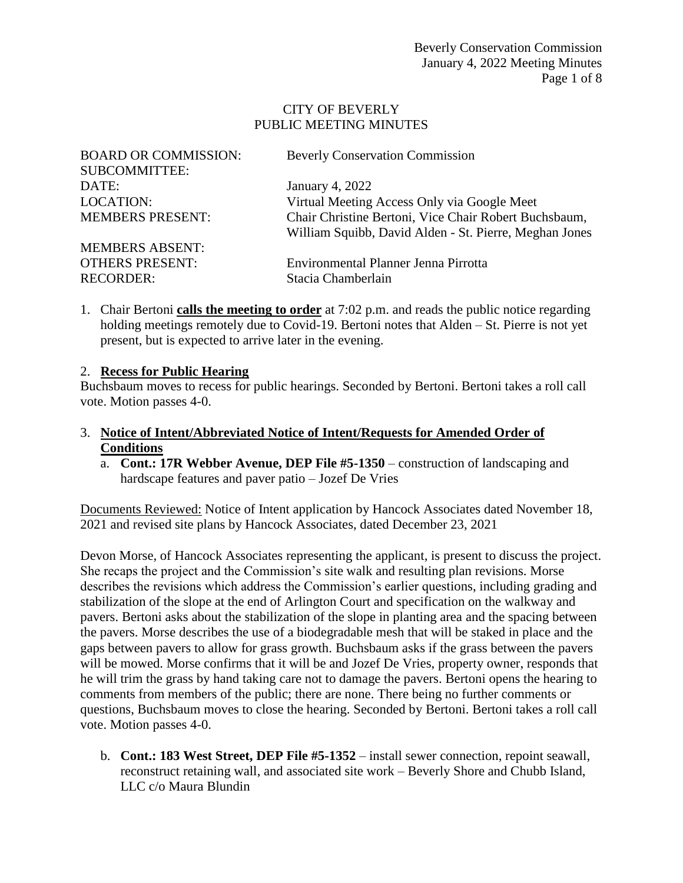#### CITY OF BEVERLY PUBLIC MEETING MINUTES

| <b>BOARD OR COMMISSION:</b> | <b>Beverly Conservation Commission</b>                                                                          |
|-----------------------------|-----------------------------------------------------------------------------------------------------------------|
| <b>SUBCOMMITTEE:</b>        |                                                                                                                 |
| DATE:                       | January 4, 2022                                                                                                 |
| <b>LOCATION:</b>            | Virtual Meeting Access Only via Google Meet                                                                     |
| <b>MEMBERS PRESENT:</b>     | Chair Christine Bertoni, Vice Chair Robert Buchsbaum,<br>William Squibb, David Alden - St. Pierre, Meghan Jones |
| <b>MEMBERS ABSENT:</b>      |                                                                                                                 |
| <b>OTHERS PRESENT:</b>      | Environmental Planner Jenna Pirrotta                                                                            |
| <b>RECORDER:</b>            | Stacia Chamberlain                                                                                              |

1. Chair Bertoni **calls the meeting to order** at 7:02 p.m. and reads the public notice regarding holding meetings remotely due to Covid-19. Bertoni notes that Alden – St. Pierre is not yet present, but is expected to arrive later in the evening.

#### 2. **Recess for Public Hearing**

Buchsbaum moves to recess for public hearings. Seconded by Bertoni. Bertoni takes a roll call vote. Motion passes 4-0.

- 3. **Notice of Intent/Abbreviated Notice of Intent/Requests for Amended Order of Conditions**
	- a. **Cont.: 17R Webber Avenue, DEP File #5-1350** construction of landscaping and hardscape features and paver patio – Jozef De Vries

Documents Reviewed: Notice of Intent application by Hancock Associates dated November 18, 2021 and revised site plans by Hancock Associates, dated December 23, 2021

Devon Morse, of Hancock Associates representing the applicant, is present to discuss the project. She recaps the project and the Commission's site walk and resulting plan revisions. Morse describes the revisions which address the Commission's earlier questions, including grading and stabilization of the slope at the end of Arlington Court and specification on the walkway and pavers. Bertoni asks about the stabilization of the slope in planting area and the spacing between the pavers. Morse describes the use of a biodegradable mesh that will be staked in place and the gaps between pavers to allow for grass growth. Buchsbaum asks if the grass between the pavers will be mowed. Morse confirms that it will be and Jozef De Vries, property owner, responds that he will trim the grass by hand taking care not to damage the pavers. Bertoni opens the hearing to comments from members of the public; there are none. There being no further comments or questions, Buchsbaum moves to close the hearing. Seconded by Bertoni. Bertoni takes a roll call vote. Motion passes 4-0.

b. **Cont.: 183 West Street, DEP File #5-1352** – install sewer connection, repoint seawall, reconstruct retaining wall, and associated site work – Beverly Shore and Chubb Island, LLC c/o Maura Blundin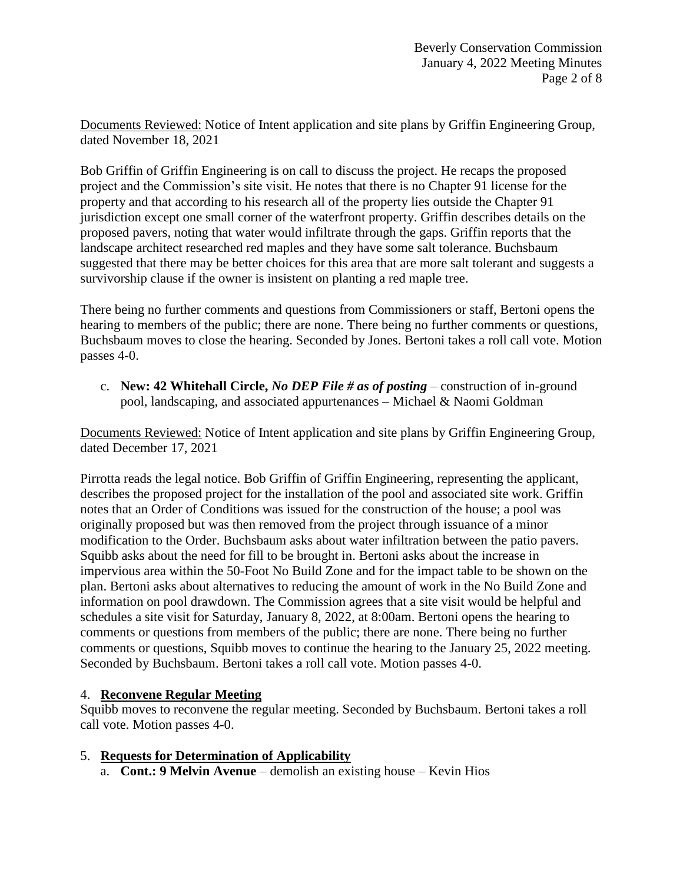Documents Reviewed: Notice of Intent application and site plans by Griffin Engineering Group, dated November 18, 2021

Bob Griffin of Griffin Engineering is on call to discuss the project. He recaps the proposed project and the Commission's site visit. He notes that there is no Chapter 91 license for the property and that according to his research all of the property lies outside the Chapter 91 jurisdiction except one small corner of the waterfront property. Griffin describes details on the proposed pavers, noting that water would infiltrate through the gaps. Griffin reports that the landscape architect researched red maples and they have some salt tolerance. Buchsbaum suggested that there may be better choices for this area that are more salt tolerant and suggests a survivorship clause if the owner is insistent on planting a red maple tree.

There being no further comments and questions from Commissioners or staff, Bertoni opens the hearing to members of the public; there are none. There being no further comments or questions, Buchsbaum moves to close the hearing. Seconded by Jones. Bertoni takes a roll call vote. Motion passes 4-0.

c. **New: 42 Whitehall Circle,** *No DEP File # as of posting* – construction of in-ground pool, landscaping, and associated appurtenances – Michael & Naomi Goldman

Documents Reviewed: Notice of Intent application and site plans by Griffin Engineering Group, dated December 17, 2021

Pirrotta reads the legal notice. Bob Griffin of Griffin Engineering, representing the applicant, describes the proposed project for the installation of the pool and associated site work. Griffin notes that an Order of Conditions was issued for the construction of the house; a pool was originally proposed but was then removed from the project through issuance of a minor modification to the Order. Buchsbaum asks about water infiltration between the patio pavers. Squibb asks about the need for fill to be brought in. Bertoni asks about the increase in impervious area within the 50-Foot No Build Zone and for the impact table to be shown on the plan. Bertoni asks about alternatives to reducing the amount of work in the No Build Zone and information on pool drawdown. The Commission agrees that a site visit would be helpful and schedules a site visit for Saturday, January 8, 2022, at 8:00am. Bertoni opens the hearing to comments or questions from members of the public; there are none. There being no further comments or questions, Squibb moves to continue the hearing to the January 25, 2022 meeting. Seconded by Buchsbaum. Bertoni takes a roll call vote. Motion passes 4-0.

## 4. **Reconvene Regular Meeting**

Squibb moves to reconvene the regular meeting. Seconded by Buchsbaum. Bertoni takes a roll call vote. Motion passes 4-0.

- 5. **Requests for Determination of Applicability**
	- a. **Cont.: 9 Melvin Avenue** demolish an existing house Kevin Hios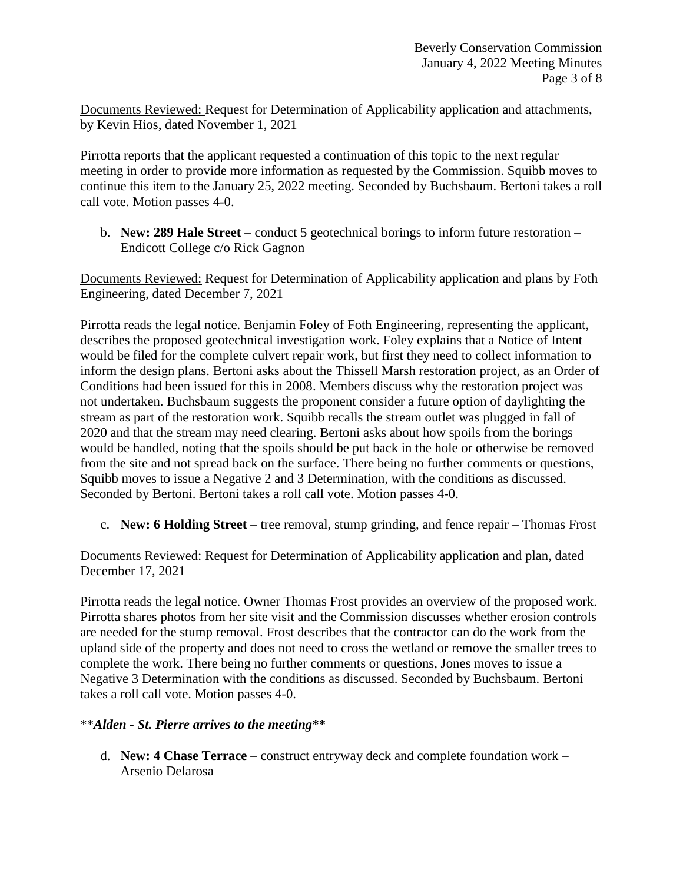Documents Reviewed: Request for Determination of Applicability application and attachments, by Kevin Hios, dated November 1, 2021

Pirrotta reports that the applicant requested a continuation of this topic to the next regular meeting in order to provide more information as requested by the Commission. Squibb moves to continue this item to the January 25, 2022 meeting. Seconded by Buchsbaum. Bertoni takes a roll call vote. Motion passes 4-0.

b. **New: 289 Hale Street** – conduct 5 geotechnical borings to inform future restoration – Endicott College c/o Rick Gagnon

Documents Reviewed: Request for Determination of Applicability application and plans by Foth Engineering, dated December 7, 2021

Pirrotta reads the legal notice. Benjamin Foley of Foth Engineering, representing the applicant, describes the proposed geotechnical investigation work. Foley explains that a Notice of Intent would be filed for the complete culvert repair work, but first they need to collect information to inform the design plans. Bertoni asks about the Thissell Marsh restoration project, as an Order of Conditions had been issued for this in 2008. Members discuss why the restoration project was not undertaken. Buchsbaum suggests the proponent consider a future option of daylighting the stream as part of the restoration work. Squibb recalls the stream outlet was plugged in fall of 2020 and that the stream may need clearing. Bertoni asks about how spoils from the borings would be handled, noting that the spoils should be put back in the hole or otherwise be removed from the site and not spread back on the surface. There being no further comments or questions, Squibb moves to issue a Negative 2 and 3 Determination, with the conditions as discussed. Seconded by Bertoni. Bertoni takes a roll call vote. Motion passes 4-0.

c. **New: 6 Holding Street** – tree removal, stump grinding, and fence repair – Thomas Frost

Documents Reviewed: Request for Determination of Applicability application and plan, dated December 17, 2021

Pirrotta reads the legal notice. Owner Thomas Frost provides an overview of the proposed work. Pirrotta shares photos from her site visit and the Commission discusses whether erosion controls are needed for the stump removal. Frost describes that the contractor can do the work from the upland side of the property and does not need to cross the wetland or remove the smaller trees to complete the work. There being no further comments or questions, Jones moves to issue a Negative 3 Determination with the conditions as discussed. Seconded by Buchsbaum. Bertoni takes a roll call vote. Motion passes 4-0.

#### \*\**Alden - St. Pierre arrives to the meeting***\*\***

d. **New: 4 Chase Terrace** – construct entryway deck and complete foundation work – Arsenio Delarosa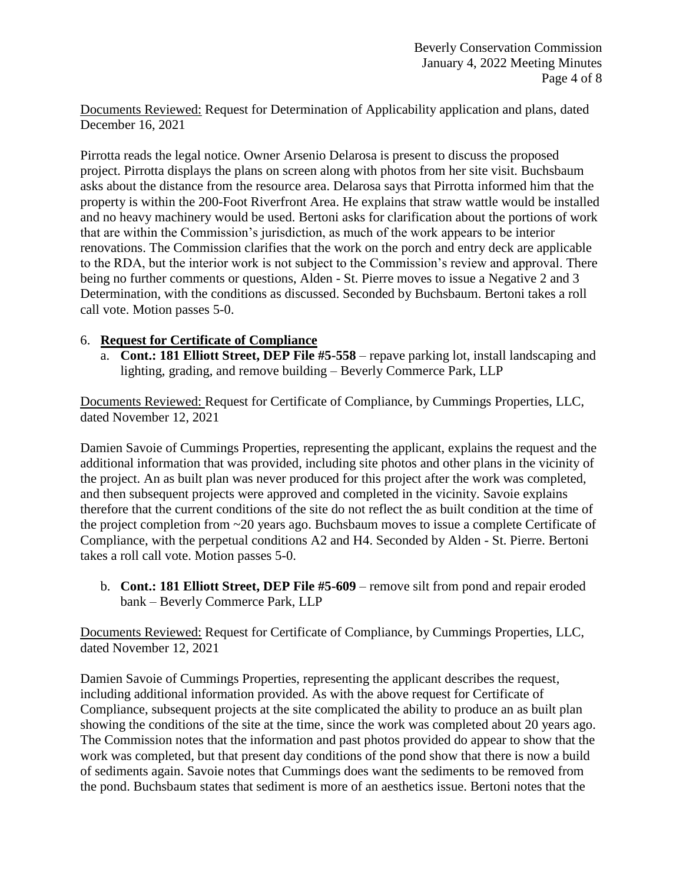Documents Reviewed: Request for Determination of Applicability application and plans, dated December 16, 2021

Pirrotta reads the legal notice. Owner Arsenio Delarosa is present to discuss the proposed project. Pirrotta displays the plans on screen along with photos from her site visit. Buchsbaum asks about the distance from the resource area. Delarosa says that Pirrotta informed him that the property is within the 200-Foot Riverfront Area. He explains that straw wattle would be installed and no heavy machinery would be used. Bertoni asks for clarification about the portions of work that are within the Commission's jurisdiction, as much of the work appears to be interior renovations. The Commission clarifies that the work on the porch and entry deck are applicable to the RDA, but the interior work is not subject to the Commission's review and approval. There being no further comments or questions, Alden - St. Pierre moves to issue a Negative 2 and 3 Determination, with the conditions as discussed. Seconded by Buchsbaum. Bertoni takes a roll call vote. Motion passes 5-0.

#### 6. **Request for Certificate of Compliance**

a. **Cont.: 181 Elliott Street, DEP File #5-558** – repave parking lot, install landscaping and lighting, grading, and remove building – Beverly Commerce Park, LLP

Documents Reviewed: Request for Certificate of Compliance, by Cummings Properties, LLC, dated November 12, 2021

Damien Savoie of Cummings Properties, representing the applicant, explains the request and the additional information that was provided, including site photos and other plans in the vicinity of the project. An as built plan was never produced for this project after the work was completed, and then subsequent projects were approved and completed in the vicinity. Savoie explains therefore that the current conditions of the site do not reflect the as built condition at the time of the project completion from ~20 years ago. Buchsbaum moves to issue a complete Certificate of Compliance, with the perpetual conditions A2 and H4. Seconded by Alden - St. Pierre. Bertoni takes a roll call vote. Motion passes 5-0.

b. **Cont.: 181 Elliott Street, DEP File #5-609** – remove silt from pond and repair eroded bank – Beverly Commerce Park, LLP

Documents Reviewed: Request for Certificate of Compliance, by Cummings Properties, LLC, dated November 12, 2021

Damien Savoie of Cummings Properties, representing the applicant describes the request, including additional information provided. As with the above request for Certificate of Compliance, subsequent projects at the site complicated the ability to produce an as built plan showing the conditions of the site at the time, since the work was completed about 20 years ago. The Commission notes that the information and past photos provided do appear to show that the work was completed, but that present day conditions of the pond show that there is now a build of sediments again. Savoie notes that Cummings does want the sediments to be removed from the pond. Buchsbaum states that sediment is more of an aesthetics issue. Bertoni notes that the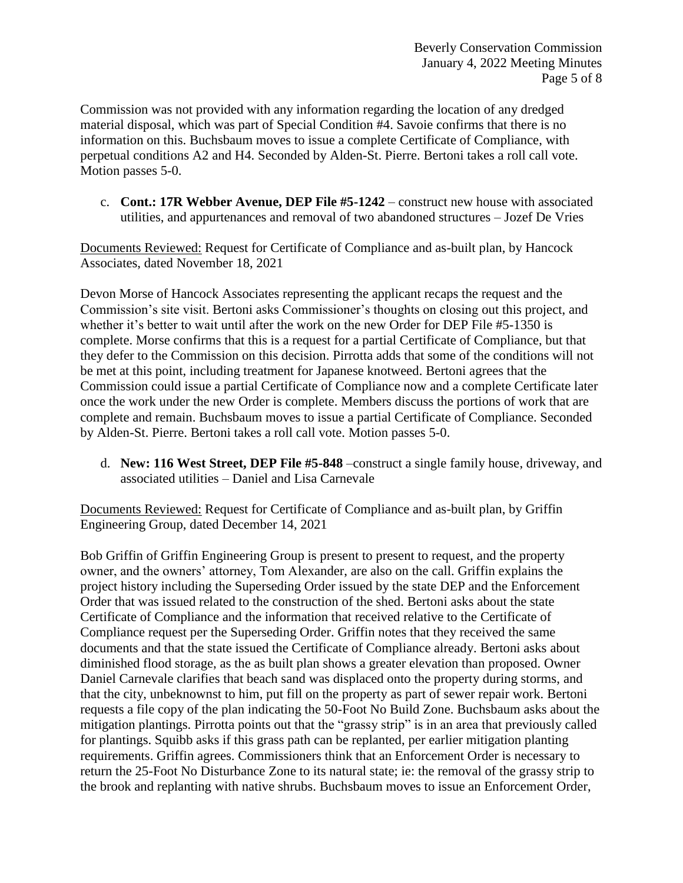Commission was not provided with any information regarding the location of any dredged material disposal, which was part of Special Condition #4. Savoie confirms that there is no information on this. Buchsbaum moves to issue a complete Certificate of Compliance, with perpetual conditions A2 and H4. Seconded by Alden-St. Pierre. Bertoni takes a roll call vote. Motion passes 5-0.

c. **Cont.: 17R Webber Avenue, DEP File #5-1242** – construct new house with associated utilities, and appurtenances and removal of two abandoned structures – Jozef De Vries

Documents Reviewed: Request for Certificate of Compliance and as-built plan, by Hancock Associates, dated November 18, 2021

Devon Morse of Hancock Associates representing the applicant recaps the request and the Commission's site visit. Bertoni asks Commissioner's thoughts on closing out this project, and whether it's better to wait until after the work on the new Order for DEP File #5-1350 is complete. Morse confirms that this is a request for a partial Certificate of Compliance, but that they defer to the Commission on this decision. Pirrotta adds that some of the conditions will not be met at this point, including treatment for Japanese knotweed. Bertoni agrees that the Commission could issue a partial Certificate of Compliance now and a complete Certificate later once the work under the new Order is complete. Members discuss the portions of work that are complete and remain. Buchsbaum moves to issue a partial Certificate of Compliance. Seconded by Alden-St. Pierre. Bertoni takes a roll call vote. Motion passes 5-0.

d. **New: 116 West Street, DEP File #5-848** –construct a single family house, driveway, and associated utilities – Daniel and Lisa Carnevale

Documents Reviewed: Request for Certificate of Compliance and as-built plan, by Griffin Engineering Group, dated December 14, 2021

Bob Griffin of Griffin Engineering Group is present to present to request, and the property owner, and the owners' attorney, Tom Alexander, are also on the call. Griffin explains the project history including the Superseding Order issued by the state DEP and the Enforcement Order that was issued related to the construction of the shed. Bertoni asks about the state Certificate of Compliance and the information that received relative to the Certificate of Compliance request per the Superseding Order. Griffin notes that they received the same documents and that the state issued the Certificate of Compliance already. Bertoni asks about diminished flood storage, as the as built plan shows a greater elevation than proposed. Owner Daniel Carnevale clarifies that beach sand was displaced onto the property during storms, and that the city, unbeknownst to him, put fill on the property as part of sewer repair work. Bertoni requests a file copy of the plan indicating the 50-Foot No Build Zone. Buchsbaum asks about the mitigation plantings. Pirrotta points out that the "grassy strip" is in an area that previously called for plantings. Squibb asks if this grass path can be replanted, per earlier mitigation planting requirements. Griffin agrees. Commissioners think that an Enforcement Order is necessary to return the 25-Foot No Disturbance Zone to its natural state; ie: the removal of the grassy strip to the brook and replanting with native shrubs. Buchsbaum moves to issue an Enforcement Order,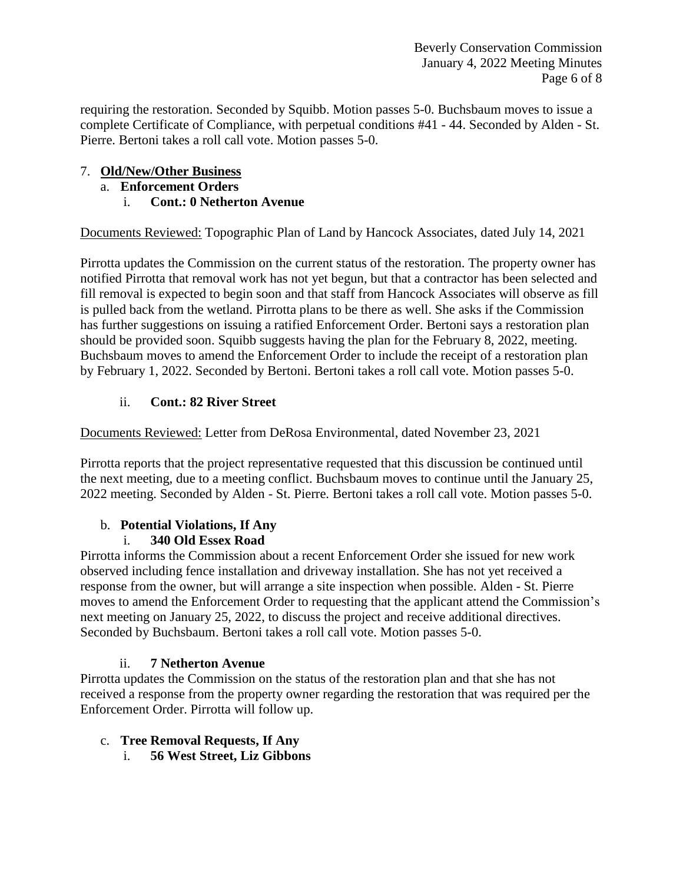Beverly Conservation Commission January 4, 2022 Meeting Minutes Page 6 of 8

requiring the restoration. Seconded by Squibb. Motion passes 5-0. Buchsbaum moves to issue a complete Certificate of Compliance, with perpetual conditions #41 - 44. Seconded by Alden - St. Pierre. Bertoni takes a roll call vote. Motion passes 5-0.

### 7. **Old/New/Other Business**

- a. **Enforcement Orders**
	- i. **Cont.: 0 Netherton Avenue**

Documents Reviewed: Topographic Plan of Land by Hancock Associates, dated July 14, 2021

Pirrotta updates the Commission on the current status of the restoration. The property owner has notified Pirrotta that removal work has not yet begun, but that a contractor has been selected and fill removal is expected to begin soon and that staff from Hancock Associates will observe as fill is pulled back from the wetland. Pirrotta plans to be there as well. She asks if the Commission has further suggestions on issuing a ratified Enforcement Order. Bertoni says a restoration plan should be provided soon. Squibb suggests having the plan for the February 8, 2022, meeting. Buchsbaum moves to amend the Enforcement Order to include the receipt of a restoration plan by February 1, 2022. Seconded by Bertoni. Bertoni takes a roll call vote. Motion passes 5-0.

## ii. **Cont.: 82 River Street**

Documents Reviewed: Letter from DeRosa Environmental, dated November 23, 2021

Pirrotta reports that the project representative requested that this discussion be continued until the next meeting, due to a meeting conflict. Buchsbaum moves to continue until the January 25, 2022 meeting. Seconded by Alden - St. Pierre. Bertoni takes a roll call vote. Motion passes 5-0.

# b. **Potential Violations, If Any**

## i. **340 Old Essex Road**

Pirrotta informs the Commission about a recent Enforcement Order she issued for new work observed including fence installation and driveway installation. She has not yet received a response from the owner, but will arrange a site inspection when possible. Alden - St. Pierre moves to amend the Enforcement Order to requesting that the applicant attend the Commission's next meeting on January 25, 2022, to discuss the project and receive additional directives. Seconded by Buchsbaum. Bertoni takes a roll call vote. Motion passes 5-0.

## ii. **7 Netherton Avenue**

Pirrotta updates the Commission on the status of the restoration plan and that she has not received a response from the property owner regarding the restoration that was required per the Enforcement Order. Pirrotta will follow up.

## c. **Tree Removal Requests, If Any**

i. **56 West Street, Liz Gibbons**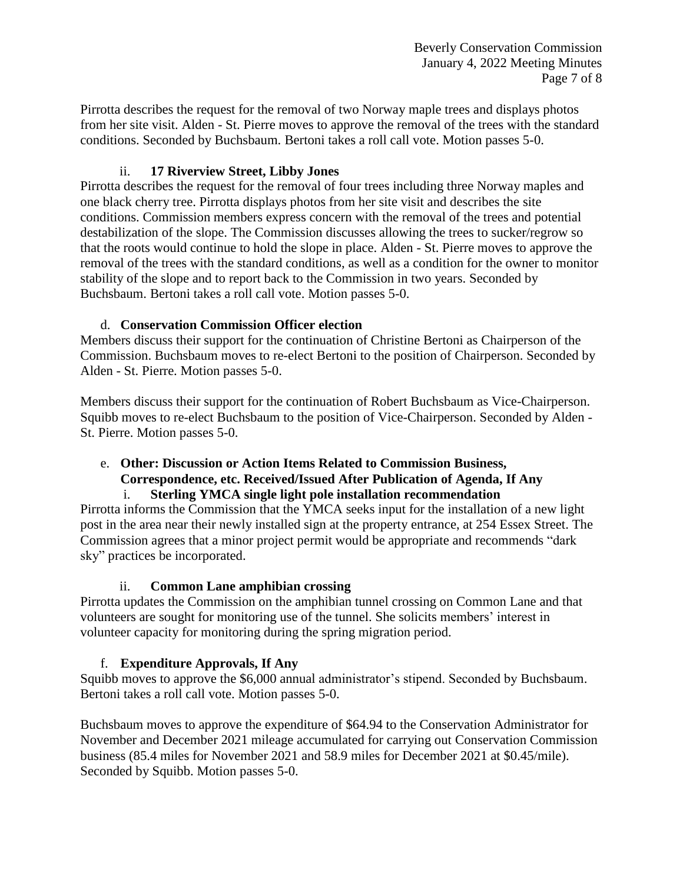Pirrotta describes the request for the removal of two Norway maple trees and displays photos from her site visit. Alden - St. Pierre moves to approve the removal of the trees with the standard conditions. Seconded by Buchsbaum. Bertoni takes a roll call vote. Motion passes 5-0.

### ii. **17 Riverview Street, Libby Jones**

Pirrotta describes the request for the removal of four trees including three Norway maples and one black cherry tree. Pirrotta displays photos from her site visit and describes the site conditions. Commission members express concern with the removal of the trees and potential destabilization of the slope. The Commission discusses allowing the trees to sucker/regrow so that the roots would continue to hold the slope in place. Alden - St. Pierre moves to approve the removal of the trees with the standard conditions, as well as a condition for the owner to monitor stability of the slope and to report back to the Commission in two years. Seconded by Buchsbaum. Bertoni takes a roll call vote. Motion passes 5-0.

#### d. **Conservation Commission Officer election**

Members discuss their support for the continuation of Christine Bertoni as Chairperson of the Commission. Buchsbaum moves to re-elect Bertoni to the position of Chairperson. Seconded by Alden - St. Pierre. Motion passes 5-0.

Members discuss their support for the continuation of Robert Buchsbaum as Vice-Chairperson. Squibb moves to re-elect Buchsbaum to the position of Vice-Chairperson. Seconded by Alden - St. Pierre. Motion passes 5-0.

#### e. **Other: Discussion or Action Items Related to Commission Business, Correspondence, etc. Received/Issued After Publication of Agenda, If Any** i. **Sterling YMCA single light pole installation recommendation**

Pirrotta informs the Commission that the YMCA seeks input for the installation of a new light post in the area near their newly installed sign at the property entrance, at 254 Essex Street. The Commission agrees that a minor project permit would be appropriate and recommends "dark sky" practices be incorporated.

#### ii. **Common Lane amphibian crossing**

Pirrotta updates the Commission on the amphibian tunnel crossing on Common Lane and that volunteers are sought for monitoring use of the tunnel. She solicits members' interest in volunteer capacity for monitoring during the spring migration period.

## f. **Expenditure Approvals, If Any**

Squibb moves to approve the \$6,000 annual administrator's stipend. Seconded by Buchsbaum. Bertoni takes a roll call vote. Motion passes 5-0.

Buchsbaum moves to approve the expenditure of \$64.94 to the Conservation Administrator for November and December 2021 mileage accumulated for carrying out Conservation Commission business (85.4 miles for November 2021 and 58.9 miles for December 2021 at \$0.45/mile). Seconded by Squibb. Motion passes 5-0.